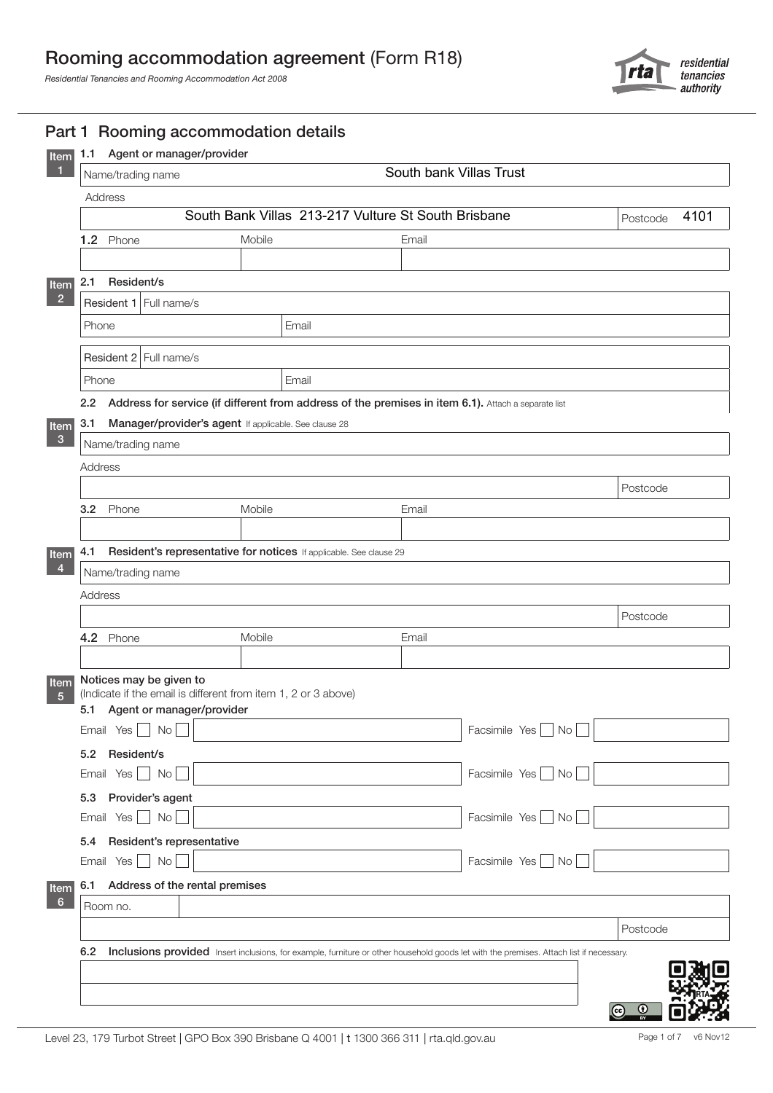# Rooming accommodation agreement (Form R18)

*Residential Tenancies and Rooming Accommodation Act 2008*



|                            | South bank Villas Trust<br>Name/trading name                                                                                            |       |                  |                     |          |  |  |  |
|----------------------------|-----------------------------------------------------------------------------------------------------------------------------------------|-------|------------------|---------------------|----------|--|--|--|
| Address                    |                                                                                                                                         |       |                  |                     |          |  |  |  |
|                            | South Bank Villas 213-217 Vulture St South Brisbane                                                                                     |       | 4101<br>Postcode |                     |          |  |  |  |
| 1.2 Phone                  | Mobile                                                                                                                                  |       | Email            |                     |          |  |  |  |
|                            |                                                                                                                                         |       |                  |                     |          |  |  |  |
| Resident/s<br>2.1          |                                                                                                                                         |       |                  |                     |          |  |  |  |
| Resident 1 Full name/s     |                                                                                                                                         |       |                  |                     |          |  |  |  |
| Phone                      |                                                                                                                                         | Email |                  |                     |          |  |  |  |
| Resident 2 Full name/s     |                                                                                                                                         |       |                  |                     |          |  |  |  |
| Phone                      |                                                                                                                                         | Email |                  |                     |          |  |  |  |
| $2.2^{\circ}$              | Address for service (if different from address of the premises in item 6.1). Attach a separate list                                     |       |                  |                     |          |  |  |  |
| 3.1                        | Manager/provider's agent If applicable. See clause 28                                                                                   |       |                  |                     |          |  |  |  |
| Name/trading name          |                                                                                                                                         |       |                  |                     |          |  |  |  |
| Address                    |                                                                                                                                         |       |                  |                     |          |  |  |  |
|                            |                                                                                                                                         |       |                  |                     | Postcode |  |  |  |
| 3.2 Phone                  | Mobile                                                                                                                                  |       | Email            |                     |          |  |  |  |
|                            |                                                                                                                                         |       |                  |                     |          |  |  |  |
| 4.1                        | Resident's representative for notices If applicable. See clause 29                                                                      |       |                  |                     |          |  |  |  |
| Name/trading name          |                                                                                                                                         |       |                  |                     |          |  |  |  |
| Address                    |                                                                                                                                         |       |                  |                     |          |  |  |  |
|                            |                                                                                                                                         |       |                  |                     | Postcode |  |  |  |
| 4.2 Phone                  | Mobile                                                                                                                                  |       | Email            |                     |          |  |  |  |
|                            |                                                                                                                                         |       |                  |                     |          |  |  |  |
| Notices may be given to    | (Indicate if the email is different from item 1, 2 or 3 above)                                                                          |       |                  |                     |          |  |  |  |
|                            | Agent or manager/provider                                                                                                               |       |                  |                     |          |  |  |  |
| 5.1                        |                                                                                                                                         |       |                  | Facsimile Yes<br>No |          |  |  |  |
| Email Yes $\Box$ No $\Box$ |                                                                                                                                         |       |                  |                     |          |  |  |  |
| 5.2 Resident/s             |                                                                                                                                         |       |                  |                     |          |  |  |  |
| Email Yes $\Box$ No        |                                                                                                                                         |       |                  | Facsimile Yes<br>No |          |  |  |  |
| Provider's agent<br>5.3    |                                                                                                                                         |       |                  |                     |          |  |  |  |
| Email Yes No               |                                                                                                                                         |       |                  | Facsimile Yes No    |          |  |  |  |
| 5.4                        | Resident's representative                                                                                                               |       |                  |                     |          |  |  |  |
| Email Yes $\Box$ No $\Box$ |                                                                                                                                         |       |                  | Facsimile Yes No    |          |  |  |  |
| 6.1                        | Address of the rental premises                                                                                                          |       |                  |                     |          |  |  |  |
| Room no.                   |                                                                                                                                         |       |                  |                     |          |  |  |  |
|                            |                                                                                                                                         |       |                  |                     | Postcode |  |  |  |
| 6.2                        | Inclusions provided Insert inclusions, for example, furniture or other household goods let with the premises. Attach list if necessary. |       |                  |                     |          |  |  |  |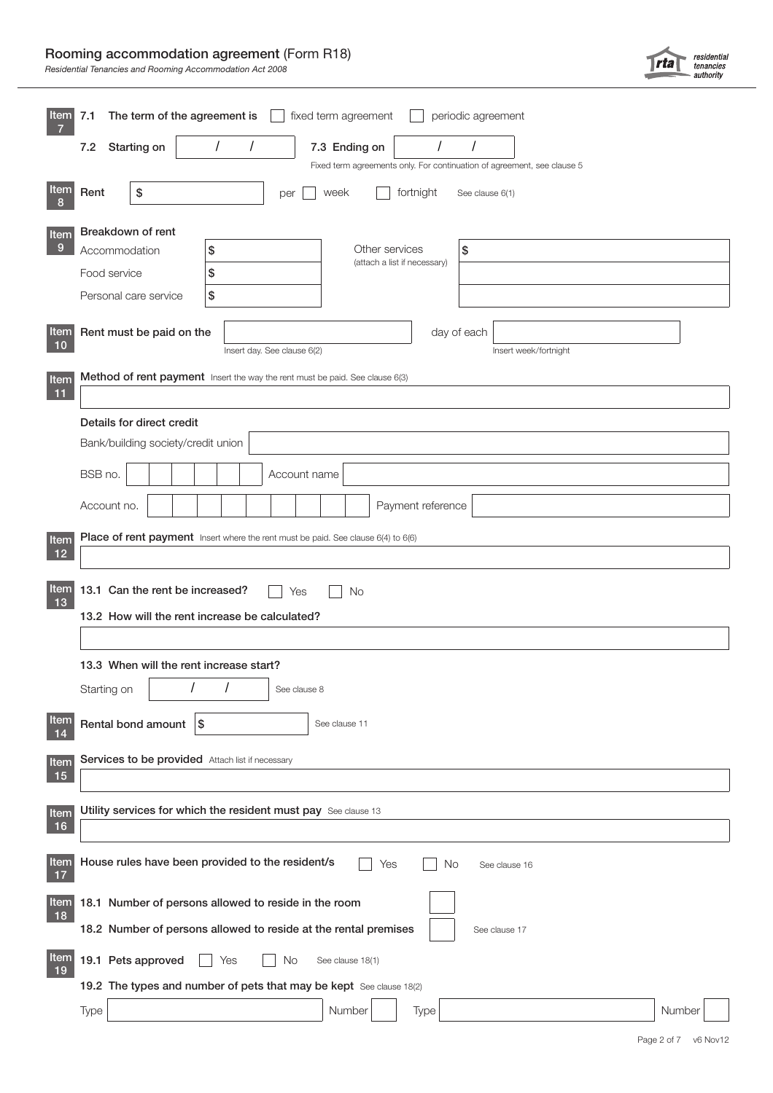# Rooming accommodation agreement (Form R18)

*Residential Tenancies and Rooming Accommodation Act 2008*

| Item              | The term of the agreement is<br>fixed term agreement<br>periodic agreement<br>7.1 |  |  |  |  |  |  |  |  |  |  |  |
|-------------------|-----------------------------------------------------------------------------------|--|--|--|--|--|--|--|--|--|--|--|
|                   | $\prime$<br>$\prime$<br>$\prime$<br>7.2<br>Starting on<br>7.3 Ending on           |  |  |  |  |  |  |  |  |  |  |  |
|                   | Fixed term agreements only. For continuation of agreement, see clause 5           |  |  |  |  |  |  |  |  |  |  |  |
| Item              | Rent<br>\$<br>week<br>fortnight<br>See clause 6(1)<br>per                         |  |  |  |  |  |  |  |  |  |  |  |
| Item              | Breakdown of rent                                                                 |  |  |  |  |  |  |  |  |  |  |  |
| 9                 | Other services<br>\$<br>Accommodation<br>\$<br>(attach a list if necessary)       |  |  |  |  |  |  |  |  |  |  |  |
|                   | \$<br>Food service                                                                |  |  |  |  |  |  |  |  |  |  |  |
|                   | \$<br>Personal care service                                                       |  |  |  |  |  |  |  |  |  |  |  |
| <b>Item</b><br>10 | Rent must be paid on the<br>day of each                                           |  |  |  |  |  |  |  |  |  |  |  |
|                   | Insert day. See clause 6(2)<br>Insert week/fortnight                              |  |  |  |  |  |  |  |  |  |  |  |
| Item<br>11        | Method of rent payment Insert the way the rent must be paid. See clause 6(3)      |  |  |  |  |  |  |  |  |  |  |  |
|                   | Details for direct credit                                                         |  |  |  |  |  |  |  |  |  |  |  |
|                   | Bank/building society/credit union                                                |  |  |  |  |  |  |  |  |  |  |  |
|                   | BSB no.<br>Account name                                                           |  |  |  |  |  |  |  |  |  |  |  |
|                   | Payment reference<br>Account no.                                                  |  |  |  |  |  |  |  |  |  |  |  |
| Item              | Place of rent payment Insert where the rent must be paid. See clause 6(4) to 6(6) |  |  |  |  |  |  |  |  |  |  |  |
| 12                |                                                                                   |  |  |  |  |  |  |  |  |  |  |  |
| Item              | 13.1 Can the rent be increased?<br><b>No</b><br>Yes                               |  |  |  |  |  |  |  |  |  |  |  |
| 13                | 13.2 How will the rent increase be calculated?                                    |  |  |  |  |  |  |  |  |  |  |  |
|                   |                                                                                   |  |  |  |  |  |  |  |  |  |  |  |
|                   | 13.3 When will the rent increase start?                                           |  |  |  |  |  |  |  |  |  |  |  |
|                   | Starting on<br>See clause 8                                                       |  |  |  |  |  |  |  |  |  |  |  |
| <b>Item</b><br>14 | Rental bond amount<br>\$<br>See clause 11                                         |  |  |  |  |  |  |  |  |  |  |  |
| <b>Item</b>       | Services to be provided Attach list if necessary                                  |  |  |  |  |  |  |  |  |  |  |  |
| 15                |                                                                                   |  |  |  |  |  |  |  |  |  |  |  |
| Item              | Utility services for which the resident must pay See clause 13                    |  |  |  |  |  |  |  |  |  |  |  |
| 16                |                                                                                   |  |  |  |  |  |  |  |  |  |  |  |
| <b>Item</b><br>17 | House rules have been provided to the resident/s<br>Yes<br>No<br>See clause 16    |  |  |  |  |  |  |  |  |  |  |  |
| <b>Item</b><br>18 | 18.1 Number of persons allowed to reside in the room                              |  |  |  |  |  |  |  |  |  |  |  |
|                   | 18.2 Number of persons allowed to reside at the rental premises<br>See clause 17  |  |  |  |  |  |  |  |  |  |  |  |
| Item<br>19        | 19.1 Pets approved<br>No<br>See clause 18(1)<br>Yes                               |  |  |  |  |  |  |  |  |  |  |  |
|                   | 19.2 The types and number of pets that may be kept See clause 18(2)               |  |  |  |  |  |  |  |  |  |  |  |
|                   | Number<br>Type<br>Type<br>Number                                                  |  |  |  |  |  |  |  |  |  |  |  |

residential<br>tenancies<br>authority

 $|rta|$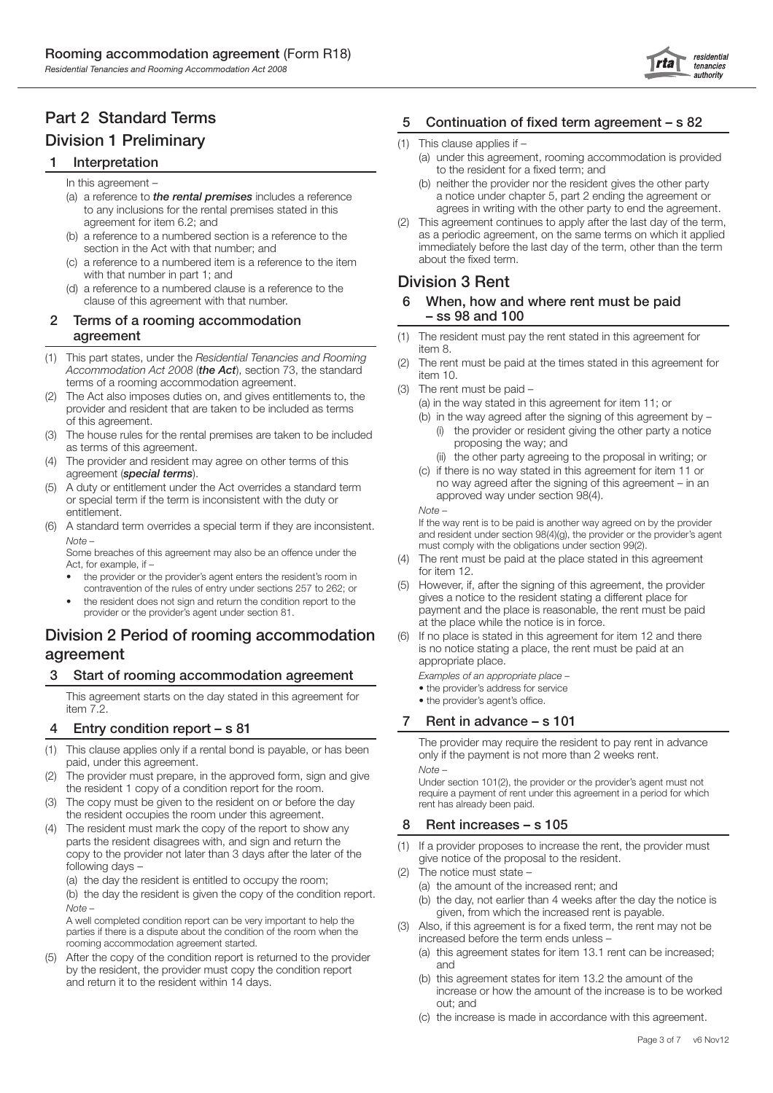residential rta tenancies authority

# Part 2 Standard Terms Division 1 Preliminary

## **Interpretation**

In this agreement –

- (a) a reference to *the rental premises* includes a reference to any inclusions for the rental premises stated in this agreement for item 6.2; and
- (b) a reference to a numbered section is a reference to the section in the Act with that number; and
- (c) a reference to a numbered item is a reference to the item with that number in part 1; and
- (d) a reference to a numbered clause is a reference to the clause of this agreement with that number.

### 2 Terms of a rooming accommodation agreement

- (1) This part states, under the *Residential Tenancies and Rooming Accommodation Act 2008* (*the Act*), section 73, the standard terms of a rooming accommodation agreement.
- (2) The Act also imposes duties on, and gives entitlements to, the provider and resident that are taken to be included as terms of this agreement.
- (3) The house rules for the rental premises are taken to be included as terms of this agreement.
- The provider and resident may agree on other terms of this agreement (*special terms*).
- A duty or entitlement under the Act overrides a standard term or special term if the term is inconsistent with the duty or entitlement.
- (6) A standard term overrides a special term if they are inconsistent. *Note –*

 Some breaches of this agreement may also be an offence under the Act, for example, if –

- the provider or the provider's agent enters the resident's room in contravention of the rules of entry under sections 257 to 262; or
- the resident does not sign and return the condition report to the provider or the provider's agent under section 81.

# Division 2 Period of rooming accommodation agreement

# 3 Start of rooming accommodation agreement

 This agreement starts on the day stated in this agreement for item 7.2.

## 4 Entry condition report – s 81

- (1) This clause applies only if a rental bond is payable, or has been paid, under this agreement.
- (2) The provider must prepare, in the approved form, sign and give the resident 1 copy of a condition report for the room.
- (3) The copy must be given to the resident on or before the day the resident occupies the room under this agreement.
- The resident must mark the copy of the report to show any parts the resident disagrees with, and sign and return the copy to the provider not later than 3 days after the later of the following days –
	- (a) the day the resident is entitled to occupy the room; (b) the day the resident is given the copy of the condition report. *Note –*

 A well completed condition report can be very important to help the parties if there is a dispute about the condition of the room when the rooming accommodation agreement started.

(5) After the copy of the condition report is returned to the provider by the resident, the provider must copy the condition report and return it to the resident within 14 days.

# 5 Continuation of fixed term agreement – s 82

- (1) This clause applies if
	- (a) under this agreement, rooming accommodation is provided to the resident for a fixed term; and
	- (b) neither the provider nor the resident gives the other party a notice under chapter 5, part 2 ending the agreement or agrees in writing with the other party to end the agreement.
- (2) This agreement continues to apply after the last day of the term, as a periodic agreement, on the same terms on which it applied immediately before the last day of the term, other than the term about the fixed term.

# Division 3 Rent

- 6 When, how and where rent must be paid – ss 98 and 100
- (1) The resident must pay the rent stated in this agreement for item 8.
- (2) The rent must be paid at the times stated in this agreement for item 10.
- (3) The rent must be paid
	- (a) in the way stated in this agreement for item 11; or
	- (b) in the way agreed after the signing of this agreement by (i) the provider or resident giving the other party a notice proposing the way; and
		- (ii) the other party agreeing to the proposal in writing; or
	- (c) if there is no way stated in this agreement for item 11 or no way agreed after the signing of this agreement – in an approved way under section 98(4). *Note –*

 If the way rent is to be paid is another way agreed on by the provider and resident under section 98(4)(g), the provider or the provider's agent must comply with the obligations under section 99(2).

- (4) The rent must be paid at the place stated in this agreement for item 12.
- (5) However, if, after the signing of this agreement, the provider gives a notice to the resident stating a different place for payment and the place is reasonable, the rent must be paid at the place while the notice is in force.
- (6) If no place is stated in this agreement for item 12 and there is no notice stating a place, the rent must be paid at an appropriate place.

*Examples of an appropriate place –* 

- the provider's address for service
- the provider's agent's office.

## 7 Rent in advance – s 101

 The provider may require the resident to pay rent in advance only if the payment is not more than 2 weeks rent. *Note –* 

 Under section 101(2), the provider or the provider's agent must not require a payment of rent under this agreement in a period for which rent has already been paid.

## 8 Rent increases – s 105

- (1) If a provider proposes to increase the rent, the provider must give notice of the proposal to the resident.
- (2) The notice must state
	- (a) the amount of the increased rent; and
	- (b) the day, not earlier than 4 weeks after the day the notice is given, from which the increased rent is payable.
- (3) Also, if this agreement is for a fixed term, the rent may not be increased before the term ends unless –
	- (a) this agreement states for item 13.1 rent can be increased; and
	- (b) this agreement states for item 13.2 the amount of the increase or how the amount of the increase is to be worked out; and
	- (c) the increase is made in accordance with this agreement.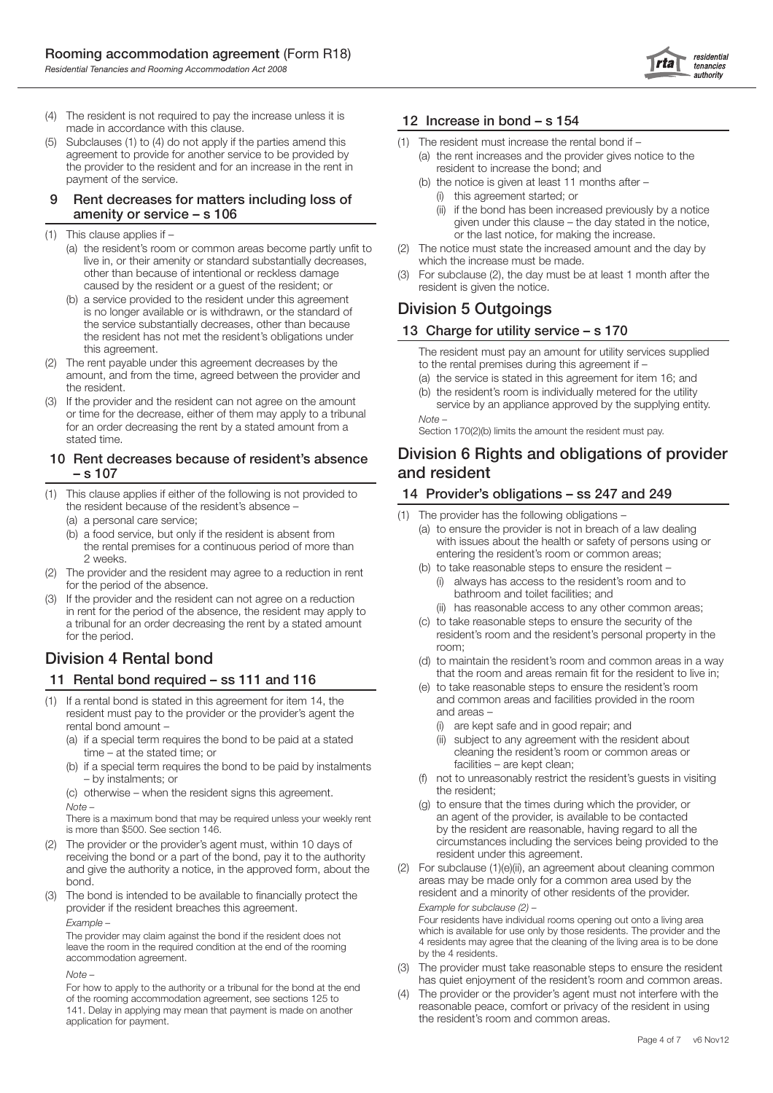

- (4) The resident is not required to pay the increase unless it is made in accordance with this clause.
- (5) Subclauses (1) to (4) do not apply if the parties amend this agreement to provide for another service to be provided by the provider to the resident and for an increase in the rent in payment of the service.

#### 9 Rent decreases for matters including loss of amenity or service – s 106

- (1) This clause applies if
	- (a) the resident's room or common areas become partly unfit to live in, or their amenity or standard substantially decreases, other than because of intentional or reckless damage caused by the resident or a guest of the resident; or
	- (b) a service provided to the resident under this agreement is no longer available or is withdrawn, or the standard of the service substantially decreases, other than because the resident has not met the resident's obligations under this agreement.
- (2) The rent payable under this agreement decreases by the amount, and from the time, agreed between the provider and the resident.
- (3) If the provider and the resident can not agree on the amount or time for the decrease, either of them may apply to a tribunal for an order decreasing the rent by a stated amount from a stated time.

#### 10 Rent decreases because of resident's absence – s 107

- (1) This clause applies if either of the following is not provided to the resident because of the resident's absence –
	- (a) a personal care service;
	- (b) a food service, but only if the resident is absent from the rental premises for a continuous period of more than 2 weeks.
- (2) The provider and the resident may agree to a reduction in rent for the period of the absence.
- (3) If the provider and the resident can not agree on a reduction in rent for the period of the absence, the resident may apply to a tribunal for an order decreasing the rent by a stated amount for the period.

# Division 4 Rental bond

## 11 Rental bond required – ss 111 and 116

- (1) If a rental bond is stated in this agreement for item 14, the resident must pay to the provider or the provider's agent the rental bond amount –
	- (a) if a special term requires the bond to be paid at a stated time – at the stated time; or
	- (b) if a special term requires the bond to be paid by instalments – by instalments; or
	- (c) otherwise when the resident signs this agreement. *Note –*

 There is a maximum bond that may be required unless your weekly rent is more than \$500. See section 146.

- (2) The provider or the provider's agent must, within 10 days of receiving the bond or a part of the bond, pay it to the authority and give the authority a notice, in the approved form, about the bond.
- (3) The bond is intended to be available to financially protect the provider if the resident breaches this agreement. *Example –*

 The provider may claim against the bond if the resident does not leave the room in the required condition at the end of the rooming accommodation agreement.

*Note –* 

 For how to apply to the authority or a tribunal for the bond at the end of the rooming accommodation agreement, see sections 125 to 141. Delay in applying may mean that payment is made on another application for payment.

## 12 Increase in bond – s 154

- The resident must increase the rental bond if
	- (a) the rent increases and the provider gives notice to the resident to increase the bond; and
	- (b) the notice is given at least 11 months after (i) this agreement started; or
		- (ii) if the bond has been increased previously by a notice given under this clause – the day stated in the notice, or the last notice, for making the increase.
- (2) The notice must state the increased amount and the day by which the increase must be made.
- (3) For subclause (2), the day must be at least 1 month after the resident is given the notice.

# Division 5 Outgoings

# 13 Charge for utility service – s 170

 The resident must pay an amount for utility services supplied to the rental premises during this agreement if –

- (a) the service is stated in this agreement for item 16; and
- (b) the resident's room is individually metered for the utility service by an appliance approved by the supplying entity. *Note –*

Section 170(2)(b) limits the amount the resident must pay.

# Division 6 Rights and obligations of provider and resident

### 14 Provider's obligations – ss 247 and 249

- (1) The provider has the following obligations
	- (a) to ensure the provider is not in breach of a law dealing with issues about the health or safety of persons using or entering the resident's room or common areas;
	- (b) to take reasonable steps to ensure the resident (i) always has access to the resident's room and to bathroom and toilet facilities; and
		- (ii) has reasonable access to any other common areas;
	- (c) to take reasonable steps to ensure the security of the resident's room and the resident's personal property in the room;
	- (d) to maintain the resident's room and common areas in a way that the room and areas remain fit for the resident to live in;
	- (e) to take reasonable steps to ensure the resident's room and common areas and facilities provided in the room and areas –
		- are kept safe and in good repair; and
		- (ii) subject to any agreement with the resident about cleaning the resident's room or common areas or facilities – are kept clean;
	- (f) not to unreasonably restrict the resident's guests in visiting the resident;
	- (g) to ensure that the times during which the provider, or an agent of the provider, is available to be contacted by the resident are reasonable, having regard to all the circumstances including the services being provided to the resident under this agreement.
- (2) For subclause (1)(e)(ii), an agreement about cleaning common areas may be made only for a common area used by the resident and a minority of other residents of the provider.  *Example for subclause (2) –*

 Four residents have individual rooms opening out onto a living area which is available for use only by those residents. The provider and the 4 residents may agree that the cleaning of the living area is to be done by the 4 residents.

- The provider must take reasonable steps to ensure the resident has quiet enjoyment of the resident's room and common areas.
- (4) The provider or the provider's agent must not interfere with the reasonable peace, comfort or privacy of the resident in using the resident's room and common areas.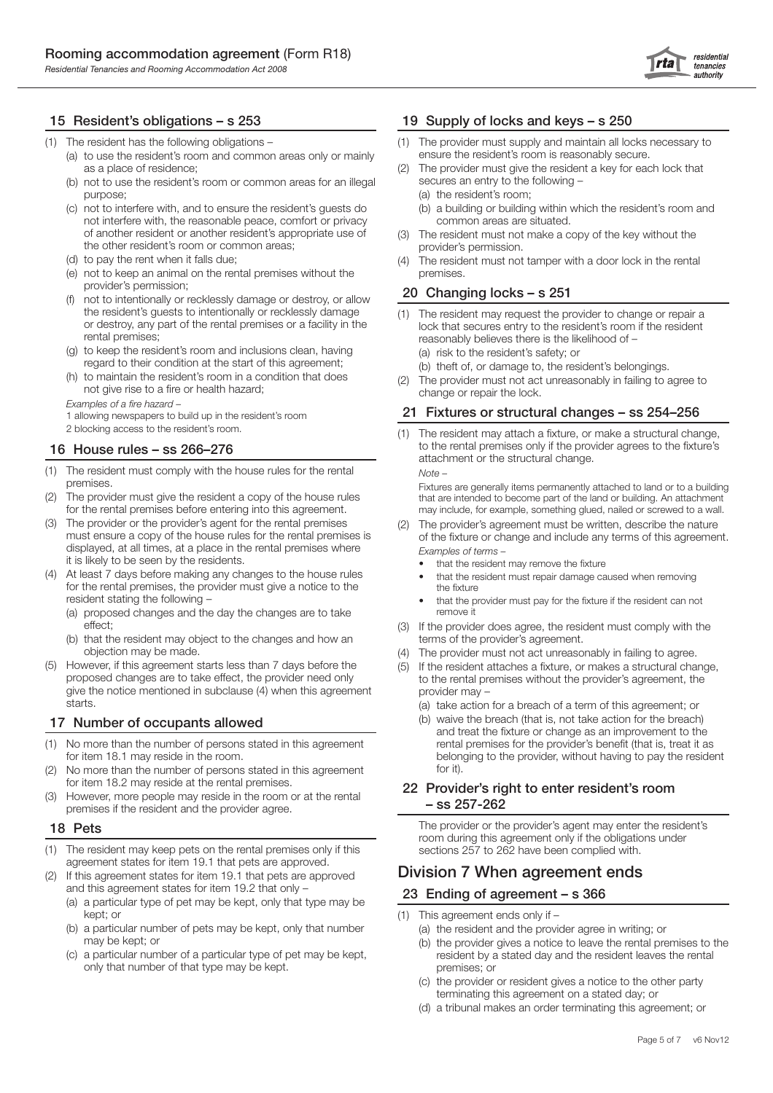

#### 15 Resident's obligations – s 253

- (1) The resident has the following obligations
	- (a) to use the resident's room and common areas only or mainly as a place of residence;
	- (b) not to use the resident's room or common areas for an illegal purpose;
	- (c) not to interfere with, and to ensure the resident's guests do not interfere with, the reasonable peace, comfort or privacy of another resident or another resident's appropriate use of the other resident's room or common areas;
	- (d) to pay the rent when it falls due;
	- (e) not to keep an animal on the rental premises without the provider's permission;
	- not to intentionally or recklessly damage or destroy, or allow the resident's guests to intentionally or recklessly damage or destroy, any part of the rental premises or a facility in the rental premises;
	- (g) to keep the resident's room and inclusions clean, having regard to their condition at the start of this agreement;
	- (h) to maintain the resident's room in a condition that does not give rise to a fire or health hazard;

*Examples of a fire hazard –* 

1 allowing newspapers to build up in the resident's room

2 blocking access to the resident's room.

#### 16 House rules – ss 266–276

- (1) The resident must comply with the house rules for the rental premises.
- (2) The provider must give the resident a copy of the house rules for the rental premises before entering into this agreement.
- (3) The provider or the provider's agent for the rental premises must ensure a copy of the house rules for the rental premises is displayed, at all times, at a place in the rental premises where it is likely to be seen by the residents.
- At least 7 days before making any changes to the house rules for the rental premises, the provider must give a notice to the resident stating the following –
	- (a) proposed changes and the day the changes are to take effect;
	- (b) that the resident may object to the changes and how an objection may be made.
- (5) However, if this agreement starts less than 7 days before the proposed changes are to take effect, the provider need only give the notice mentioned in subclause (4) when this agreement starts.

#### 17 Number of occupants allowed

- (1) No more than the number of persons stated in this agreement for item 18.1 may reside in the room.
- No more than the number of persons stated in this agreement for item 18.2 may reside at the rental premises.
- However, more people may reside in the room or at the rental premises if the resident and the provider agree.

#### 18 Pets

- (1) The resident may keep pets on the rental premises only if this agreement states for item 19.1 that pets are approved.
- (2) If this agreement states for item 19.1 that pets are approved and this agreement states for item 19.2 that only –
	- (a) a particular type of pet may be kept, only that type may be kept; or
	- (b) a particular number of pets may be kept, only that number may be kept; or
	- (c) a particular number of a particular type of pet may be kept, only that number of that type may be kept.

#### 19 Supply of locks and keys – s 250

- (1) The provider must supply and maintain all locks necessary to ensure the resident's room is reasonably secure.
- (2) The provider must give the resident a key for each lock that secures an entry to the following –
	- (a) the resident's room;
	- (b) a building or building within which the resident's room and common areas are situated.
- (3) The resident must not make a copy of the key without the provider's permission.
- The resident must not tamper with a door lock in the rental premises.

#### 20 Changing locks – s 251

- (1) The resident may request the provider to change or repair a lock that secures entry to the resident's room if the resident reasonably believes there is the likelihood of – (a) risk to the resident's safety; or
	- (b) theft of, or damage to, the resident's belongings.
- (2) The provider must not act unreasonably in failing to agree to change or repair the lock.

#### 21 Fixtures or structural changes – ss 254–256

(1) The resident may attach a fixture, or make a structural change, to the rental premises only if the provider agrees to the fixture's attachment or the structural change. *Note –* 

 Fixtures are generally items permanently attached to land or to a building that are intended to become part of the land or building. An attachment may include, for example, something glued, nailed or screwed to a wall.

- (2) The provider's agreement must be written, describe the nature of the fixture or change and include any terms of this agreement. *Examples of terms –* 
	- that the resident may remove the fixture
	- that the resident must repair damage caused when removing the fixture
	- that the provider must pay for the fixture if the resident can not remove it
- (3) If the provider does agree, the resident must comply with the terms of the provider's agreement.
- (4) The provider must not act unreasonably in failing to agree.
- (5) If the resident attaches a fixture, or makes a structural change, to the rental premises without the provider's agreement, the provider may –
	- (a) take action for a breach of a term of this agreement; or
	- (b) waive the breach (that is, not take action for the breach) and treat the fixture or change as an improvement to the rental premises for the provider's benefit (that is, treat it as belonging to the provider, without having to pay the resident for it).

#### 22 Provider's right to enter resident's room – ss 257-262

 The provider or the provider's agent may enter the resident's room during this agreement only if the obligations under sections 257 to 262 have been complied with.

# Division 7 When agreement ends

#### 23 Ending of agreement – s 366

- (1) This agreement ends only if
	- (a) the resident and the provider agree in writing; or
	- (b) the provider gives a notice to leave the rental premises to the resident by a stated day and the resident leaves the rental premises; or
	- (c) the provider or resident gives a notice to the other party terminating this agreement on a stated day; or
	- (d) a tribunal makes an order terminating this agreement; or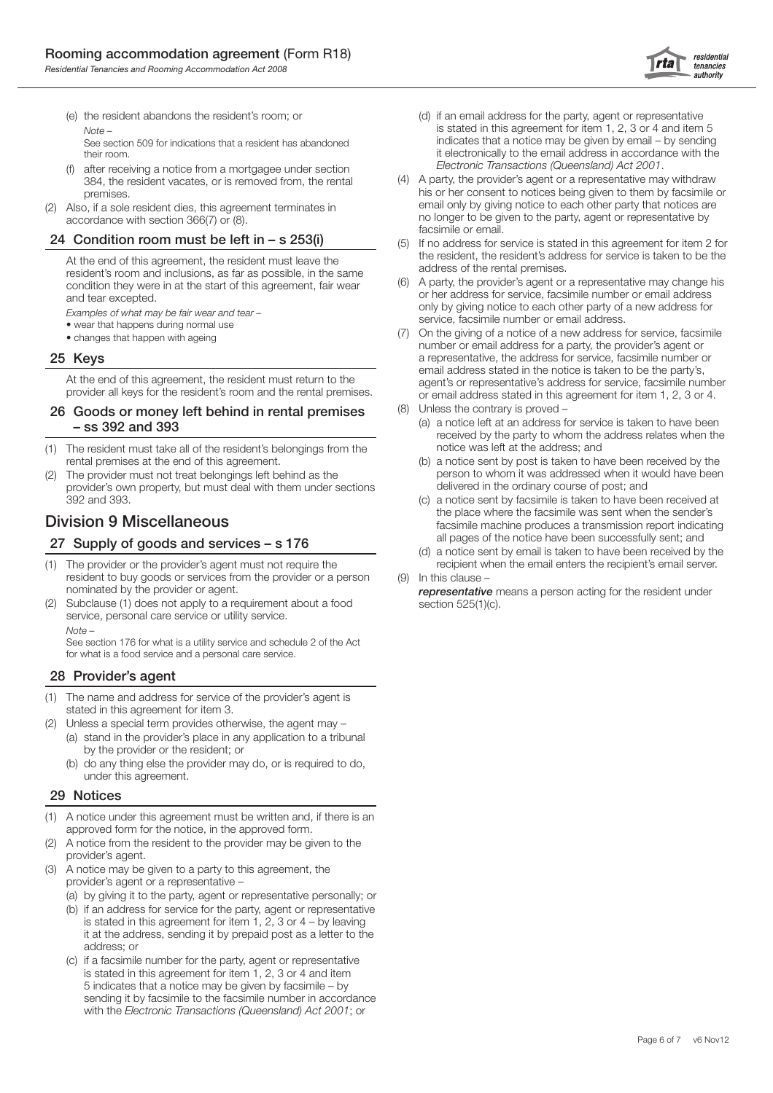(e) the resident abandons the resident's room; or  *Note –* 

 See section 509 for indications that a resident has abandoned their room.

- after receiving a notice from a mortgagee under section 384, the resident vacates, or is removed from, the rental premises.
- Also, if a sole resident dies, this agreement terminates in accordance with section 366(7) or (8).

#### 24 Condition room must be left in – s 253(i)

 At the end of this agreement, the resident must leave the resident's room and inclusions, as far as possible, in the same condition they were in at the start of this agreement, fair wear and tear excepted.

 *Examples of what may be fair wear and tear –* 

- wear that happens during normal use
- changes that happen with ageing

#### 25 Keys

 At the end of this agreement, the resident must return to the provider all keys for the resident's room and the rental premises.

#### 26 Goods or money left behind in rental premises – ss 392 and 393

- (1) The resident must take all of the resident's belongings from the rental premises at the end of this agreement.
- (2) The provider must not treat belongings left behind as the provider's own property, but must deal with them under sections 392 and 393.

# Division 9 Miscellaneous

#### 27 Supply of goods and services – s 176

- (1) The provider or the provider's agent must not require the resident to buy goods or services from the provider or a person nominated by the provider or agent.
- (2) Subclause (1) does not apply to a requirement about a food service, personal care service or utility service.  *Note –*

 See section 176 for what is a utility service and schedule 2 of the Act for what is a food service and a personal care service.

#### 28 Provider's agent

- (1) The name and address for service of the provider's agent is stated in this agreement for item 3.
- (2) Unless a special term provides otherwise, the agent may (a) stand in the provider's place in any application to a tribunal by the provider or the resident; or
	- (b) do any thing else the provider may do, or is required to do, under this agreement.

#### 29 Notices

- (1) A notice under this agreement must be written and, if there is an approved form for the notice, in the approved form.
- (2) A notice from the resident to the provider may be given to the provider's agent.
- A notice may be given to a party to this agreement, the provider's agent or a representative –
	- (a) by giving it to the party, agent or representative personally; or
	- (b) if an address for service for the party, agent or representative is stated in this agreement for item  $1, 2, 3$  or  $4 -$  by leaving it at the address, sending it by prepaid post as a letter to the address; or
	- (c) if a facsimile number for the party, agent or representative is stated in this agreement for item 1, 2, 3 or 4 and item 5 indicates that a notice may be given by facsimile – by sending it by facsimile to the facsimile number in accordance with the *Electronic Transactions (Queensland) Act 2001*; or
- (d) if an email address for the party, agent or representative is stated in this agreement for item 1, 2, 3 or 4 and item 5 indicates that a notice may be given by email – by sending it electronically to the email address in accordance with the *Electronic Transactions (Queensland) Act 2001*.
- (4) A party, the provider's agent or a representative may withdraw his or her consent to notices being given to them by facsimile or email only by giving notice to each other party that notices are no longer to be given to the party, agent or representative by facsimile or email.
- (5) If no address for service is stated in this agreement for item 2 for the resident, the resident's address for service is taken to be the address of the rental premises.
- (6) A party, the provider's agent or a representative may change his or her address for service, facsimile number or email address only by giving notice to each other party of a new address for service, facsimile number or email address.
- (7) On the giving of a notice of a new address for service, facsimile number or email address for a party, the provider's agent or a representative, the address for service, facsimile number or email address stated in the notice is taken to be the party's, agent's or representative's address for service, facsimile number or email address stated in this agreement for item 1, 2, 3 or 4.
- (8) Unless the contrary is proved
	- (a) a notice left at an address for service is taken to have been received by the party to whom the address relates when the notice was left at the address; and
	- (b) a notice sent by post is taken to have been received by the person to whom it was addressed when it would have been delivered in the ordinary course of post; and
	- (c) a notice sent by facsimile is taken to have been received at the place where the facsimile was sent when the sender's facsimile machine produces a transmission report indicating all pages of the notice have been successfully sent; and
	- (d) a notice sent by email is taken to have been received by the recipient when the email enters the recipient's email server.

(9) In this clause –

 *representative* means a person acting for the resident under section 525(1)(c).